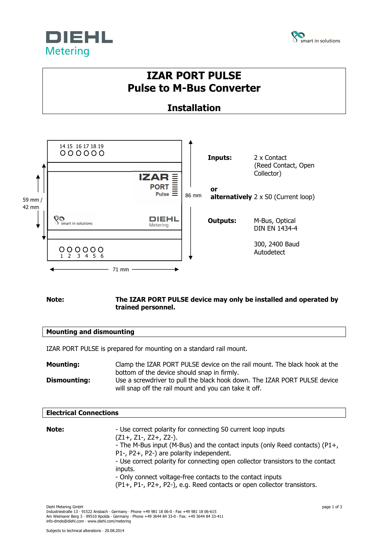



# **IZAR PORT PULSE Pulse to M-Bus Converter**

## **Installation**



### **Note: The IZAR PORT PULSE device may only be installed and operated by trained personnel.**

### **Mounting and dismounting**

IZAR PORT PULSE is prepared for mounting on a standard rail mount.

| <b>Mounting:</b> | Clamp the IZAR PORT PULSE device on the rail mount. The black hook at the                                                                                                         |  |
|------------------|-----------------------------------------------------------------------------------------------------------------------------------------------------------------------------------|--|
| Dismounting:     | bottom of the device should snap in firmly.<br>Use a screwdriver to pull the black hook down. The IZAR PORT PULSE device<br>will snap off the rail mount and you can take it off. |  |

### **Electrical Connections**

| Note: | - Use correct polarity for connecting S0 current loop inputs<br>$(Z1+, Z1-, Z2+, Z2-).$<br>- The M-Bus input (M-Bus) and the contact inputs (only Reed contacts) (P1+,<br>P1-, P2+, P2-) are polarity independent.<br>- Use correct polarity for connecting open collector transistors to the contact<br>inputs.<br>- Only connect voltage-free contacts to the contact inputs<br>(P1+, P1-, P2+, P2-), e.g. Reed contacts or open collector transistors. |
|-------|-----------------------------------------------------------------------------------------------------------------------------------------------------------------------------------------------------------------------------------------------------------------------------------------------------------------------------------------------------------------------------------------------------------------------------------------------------------|
|       |                                                                                                                                                                                                                                                                                                                                                                                                                                                           |

Diehl Metering GmbH page 1 of 3 Industriestraße 13 · 91522 Ansbach · Germany · Phone +49 981 18 06-0 · Fax +49 981 18 06-615 Am Weimarer Berg 3 · 99510 Apolda · Germany · Phone +49 3644 84 33-0 · Fax. +49 3644 84 33-411 info-dmde@diehl.com · www.diehl.com/metering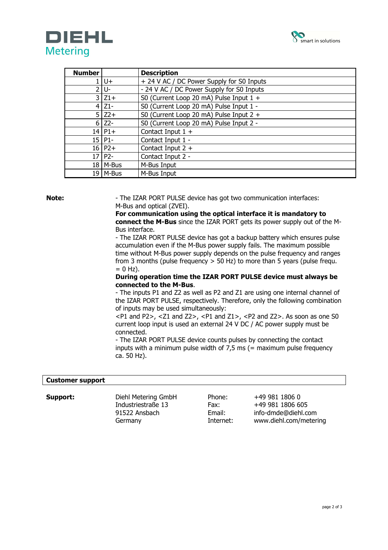



| <b>Number</b> |                  | <b>Description</b>                        |
|---------------|------------------|-------------------------------------------|
|               | $U +$            | + 24 V AC / DC Power Supply for S0 Inputs |
| $\mathcal{P}$ | l U-             | - 24 V AC / DC Power Supply for S0 Inputs |
| 3.            | $Z1+$            | S0 (Current Loop 20 mA) Pulse Input 1 +   |
| 4             | $Z1-$            | S0 (Current Loop 20 mA) Pulse Input 1 -   |
|               | $5$ Z2+          | S0 (Current Loop 20 mA) Pulse Input 2 +   |
| 6             | $Z^2$            | S0 (Current Loop 20 mA) Pulse Input 2 -   |
|               | $14$   P1+       | Contact Input $1 +$                       |
|               | $15$   P1-       | Contact Input 1 -                         |
|               | $16$   P2+       | Contact Input $2 +$                       |
| 17            | P <sub>2</sub> - | Contact Input 2 -                         |
|               | $18$   M-Bus     | M-Bus Input                               |
|               | $19$   M-Bus     | M-Bus Input                               |

**Note:** - The IZAR PORT PULSE device has got two communication interfaces: M-Bus and optical (ZVEI).

> **For communication using the optical interface it is mandatory to connect the M-Bus** since the IZAR PORT gets its power supply out of the M-Bus interface.

> - The IZAR PORT PULSE device has got a backup battery which ensures pulse accumulation even if the M-Bus power supply fails. The maximum possible time without M-Bus power supply depends on the pulse frequency and ranges from 3 months (pulse frequency  $>$  50 Hz) to more than 5 years (pulse frequ.  $= 0$  Hz).

### **During operation time the IZAR PORT PULSE device must always be connected to the M-Bus**.

- The inputs P1 and Z2 as well as P2 and Z1 are using one internal channel of the IZAR PORT PULSE, respectively. Therefore, only the following combination of inputs may be used simultaneously:

 $\langle$ P1 and P2>,  $\langle$ Z1 and Z2>,  $\langle$ P1 and Z1>,  $\langle$ P2 and Z2>. As soon as one S0 current loop input is used an external 24 V DC / AC power supply must be connected.

- The IZAR PORT PULSE device counts pulses by connecting the contact inputs with a minimum pulse width of  $7.5$  ms (= maximum pulse frequency ca. 50 Hz).

### **Customer support**

Industriestraße 13 Fax: +49 981 1806 605

**Support:** Diehl Metering GmbH Phone: +49 981 1806 0 91522 Ansbach Email: info-dmde@diehl.com Germany Internet: www.diehl.com/metering